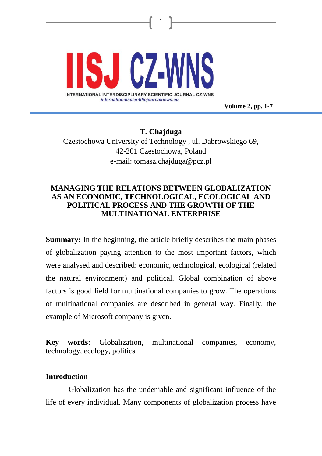

**Volume 2, pp. 1-7**

**T. Chajduga** Czestochowa University of Technology , ul. Dabrowskiego 69, 42-201 Czestochowa, Poland e-mail: [tomasz.chajduga@pcz.pl](mailto:tomasz.chajduga@pcz.pl)

1

## **MANAGING THE RELATIONS BETWEEN GLOBALIZATION AS AN ECONOMIC, TECHNOLOGICAL, ECOLOGICAL AND POLITICAL PROCESS AND THE GROWTH OF THE MULTINATIONAL ENTERPRISE**

**Summary:** In the beginning, the article briefly describes the main phases of globalization paying attention to the most important factors, which were analysed and described: economic, technological, ecological (related the natural environment) and political. Global combination of above factors is good field for multinational companies to grow. The operations of multinational companies are described in general way. Finally, the example of Microsoft company is given.

**Key words:** Globalization, multinational companies, economy, technology, ecology, politics.

#### **Introduction**

Globalization has the undeniable and significant influence of the life of every individual. Many components of globalization process have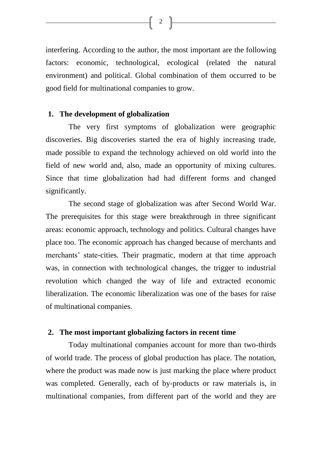interfering. According to the author, the most important are the following factors: economic, technological, ecological (related the natural environment) and political. Global combination of them occurred to be good field for multinational companies to grow.

#### **1. The development of globalization**

The very first symptoms of globalization were geographic discoveries. Big discoveries started the era of highly increasing trade, made possible to expand the technology achieved on old world into the field of new world and, also, made an opportunity of mixing cultures. Since that time globalization had had different forms and changed significantly.

The second stage of globalization was after Second World War. The prerequisites for this stage were breakthrough in three significant areas: economic approach, technology and politics. Cultural changes have place too. The economic approach has changed because of merchants and merchants' state-cities. Their pragmatic, modern at that time approach was, in connection with technological changes, the trigger to industrial revolution which changed the way of life and extracted economic liberalization. The economic liberalization was one of the bases for raise of multinational companies.

#### **2. The most important globalizing factors in recent time**

Today multinational companies account for more than two-thirds of world trade. The process of global production has place. The notation, where the product was made now is just marking the place where product was completed. Generally, each of by-products or raw materials is, in multinational companies, from different part of the world and they are

 $\begin{bmatrix} 2 \end{bmatrix}$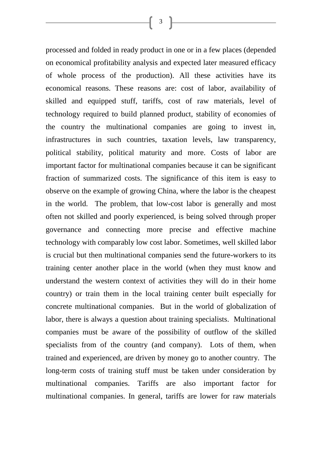processed and folded in ready product in one or in a few places (depended on economical profitability analysis and expected later measured efficacy of whole process of the production). All these activities have its economical reasons. These reasons are: cost of labor, availability of skilled and equipped stuff, tariffs, cost of raw materials, level of technology required to build planned product, stability of economies of the country the multinational companies are going to invest in, infrastructures in such countries, taxation levels, law transparency, political stability, political maturity and more. Costs of labor are important factor for multinational companies because it can be significant fraction of summarized costs. The significance of this item is easy to observe on the example of growing China, where the labor is the cheapest in the world. The problem, that low-cost labor is generally and most often not skilled and poorly experienced, is being solved through proper governance and connecting more precise and effective machine technology with comparably low cost labor. Sometimes, well skilled labor is crucial but then multinational companies send the future-workers to its training center another place in the world (when they must know and understand the western context of activities they will do in their home country) or train them in the local training center built especially for concrete multinational companies. But in the world of globalization of labor, there is always a question about training specialists. Multinational companies must be aware of the possibility of outflow of the skilled specialists from of the country (and company). Lots of them, when trained and experienced, are driven by money go to another country. The long-term costs of training stuff must be taken under consideration by multinational companies. Tariffs are also important factor for

multinational companies. In general, tariffs are lower for raw materials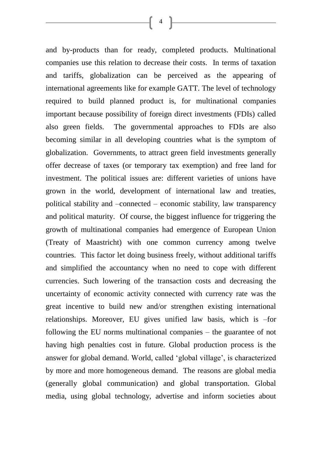and by-products than for ready, completed products. Multinational companies use this relation to decrease their costs. In terms of taxation and tariffs, globalization can be perceived as the appearing of international agreements like for example GATT. The level of technology required to build planned product is, for multinational companies important because possibility of foreign direct investments (FDIs) called also green fields. The governmental approaches to FDIs are also becoming similar in all developing countries what is the symptom of globalization. Governments, to attract green field investments generally offer decrease of taxes (or temporary tax exemption) and free land for investment. The political issues are: different varieties of unions have grown in the world, development of international law and treaties, political stability and –connected – economic stability, law transparency and political maturity. Of course, the biggest influence for triggering the growth of multinational companies had emergence of European Union (Treaty of Maastricht) with one common currency among twelve countries. This factor let doing business freely, without additional tariffs and simplified the accountancy when no need to cope with different currencies. Such lowering of the transaction costs and decreasing the uncertainty of economic activity connected with currency rate was the great incentive to build new and/or strengthen existing international relationships. Moreover, EU gives unified law basis, which is –for following the EU norms multinational companies – the guarantee of not having high penalties cost in future. Global production process is the answer for global demand. World, called "global village", is characterized by more and more homogeneous demand. The reasons are global media (generally global communication) and global transportation. Global media, using global technology, advertise and inform societies about

 $\begin{bmatrix} 4 \end{bmatrix}$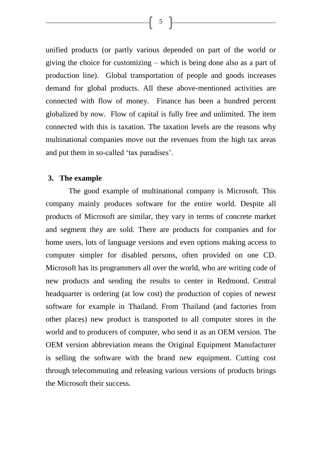unified products (or partly various depended on part of the world or giving the choice for customizing – which is being done also as a part of production line). Global transportation of people and goods increases demand for global products. All these above-mentioned activities are connected with flow of money. Finance has been a hundred percent globalized by now. Flow of capital is fully free and unlimited. The item connected with this is taxation. The taxation levels are the reasons why multinational companies move out the revenues from the high tax areas and put them in so-called 'tax paradises'.

### **3. The example**

The good example of multinational company is Microsoft. This company mainly produces software for the entire world. Despite all products of Microsoft are similar, they vary in terms of concrete market and segment they are sold. There are products for companies and for home users, lots of language versions and even options making access to computer simpler for disabled persons, often provided on one CD. Microsoft has its programmers all over the world, who are writing code of new products and sending the results to center in Redmond. Central headquarter is ordering (at low cost) the production of copies of newest software for example in Thailand. From Thailand (and factories from other places) new product is transported to all computer stores in the world and to producers of computer, who send it as an OEM version. The OEM version abbreviation means the Original Equipment Manufacturer is selling the software with the brand new equipment. Cutting cost through telecommuting and releasing various versions of products brings the Microsoft their success.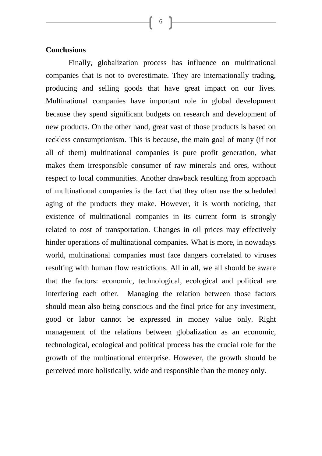## **Conclusions**

Finally, globalization process has influence on multinational companies that is not to overestimate. They are internationally trading, producing and selling goods that have great impact on our lives. Multinational companies have important role in global development because they spend significant budgets on research and development of new products. On the other hand, great vast of those products is based on reckless consumptionism. This is because, the main goal of many (if not all of them) multinational companies is pure profit generation, what makes them irresponsible consumer of raw minerals and ores, without respect to local communities. Another drawback resulting from approach of multinational companies is the fact that they often use the scheduled aging of the products they make. However, it is worth noticing, that existence of multinational companies in its current form is strongly related to cost of transportation. Changes in oil prices may effectively hinder operations of multinational companies. What is more, in nowadays world, multinational companies must face dangers correlated to viruses resulting with human flow restrictions. All in all, we all should be aware that the factors: economic, technological, ecological and political are interfering each other. Managing the relation between those factors should mean also being conscious and the final price for any investment, good or labor cannot be expressed in money value only. Right management of the relations between globalization as an economic, technological, ecological and political process has the crucial role for the growth of the multinational enterprise. However, the growth should be perceived more holistically, wide and responsible than the money only.